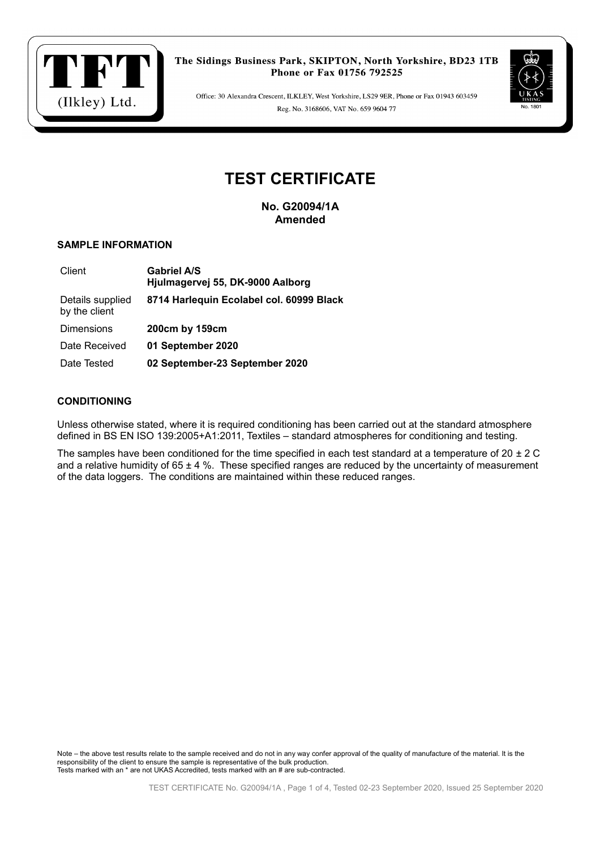



Office: 30 Alexandra Crescent, ILKLEY, West Yorkshire, LS29 9ER, Phone or Fax 01943 603459 Reg. No. 3168606, VAT No. 659 9604 77

# **TEST CERTIFICATE**

**No. G20094/1A Amended**

## **SAMPLE INFORMATION**

| Client                            | <b>Gabriel A/S</b><br>Hjulmagervej 55, DK-9000 Aalborg |  |
|-----------------------------------|--------------------------------------------------------|--|
| Details supplied<br>by the client | 8714 Harlequin Ecolabel col. 60999 Black               |  |
| Dimensions                        | 200cm by 159cm                                         |  |
| Date Received                     | 01 September 2020                                      |  |
| Date Tested                       | 02 September-23 September 2020                         |  |

## **CONDITIONING**

Unless otherwise stated, where it is required conditioning has been carried out at the standard atmosphere defined in BS EN ISO 139:2005+A1:2011, Textiles – standard atmospheres for conditioning and testing.

The samples have been conditioned for the time specified in each test standard at a temperature of  $20 \pm 2$  C and a relative humidity of  $65 \pm 4$  %. These specified ranges are reduced by the uncertainty of measurement of the data loggers. The conditions are maintained within these reduced ranges.

Note – the above test results relate to the sample received and do not in any way confer approval of the quality of manufacture of the material. It is the responsibility of the client to ensure the sample is representative of the bulk production. Tests marked with an \* are not UKAS Accredited, tests marked with an # are sub-contracted.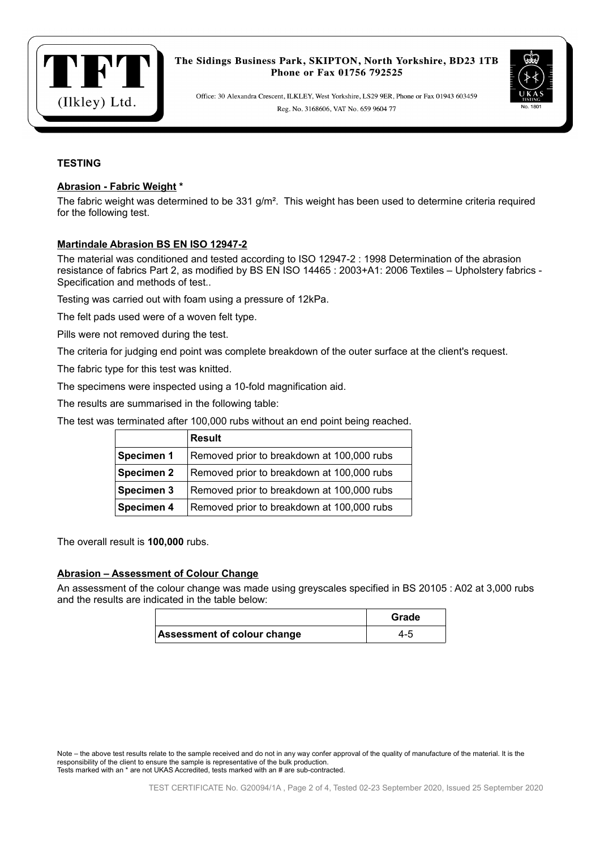



Office: 30 Alexandra Crescent, ILKLEY, West Yorkshire, LS29 9ER, Phone or Fax 01943 603459 Reg. No. 3168606, VAT No. 659 9604 77

# **TESTING**

## **Abrasion - Fabric Weight \***

The fabric weight was determined to be  $331$  g/m<sup>2</sup>. This weight has been used to determine criteria required for the following test.

#### **Martindale Abrasion BS EN ISO 12947-2**

The material was conditioned and tested according to ISO 12947-2 : 1998 Determination of the abrasion resistance of fabrics Part 2, as modified by BS EN ISO 14465 : 2003+A1: 2006 Textiles – Upholstery fabrics - Specification and methods of test..

Testing was carried out with foam using a pressure of 12kPa.

The felt pads used were of a woven felt type.

Pills were not removed during the test.

The criteria for judging end point was complete breakdown of the outer surface at the client's request.

The fabric type for this test was knitted.

The specimens were inspected using a 10-fold magnification aid.

The results are summarised in the following table:

The test was terminated after 100,000 rubs without an end point being reached.

|                   | <b>Result</b>                              |
|-------------------|--------------------------------------------|
| Specimen 1        | Removed prior to breakdown at 100,000 rubs |
| <b>Specimen 2</b> | Removed prior to breakdown at 100,000 rubs |
| Specimen 3        | Removed prior to breakdown at 100,000 rubs |
| Specimen 4        | Removed prior to breakdown at 100,000 rubs |

The overall result is **100,000** rubs.

#### **Abrasion – Assessment of Colour Change**

An assessment of the colour change was made using greyscales specified in BS 20105 : A02 at 3,000 rubs and the results are indicated in the table below:

|                             | Grade |
|-----------------------------|-------|
| Assessment of colour change | 4-5   |

Note – the above test results relate to the sample received and do not in any way confer approval of the quality of manufacture of the material. It is the responsibility of the client to ensure the sample is representative of the bulk production. Tests marked with an \* are not UKAS Accredited, tests marked with an # are sub-contracted.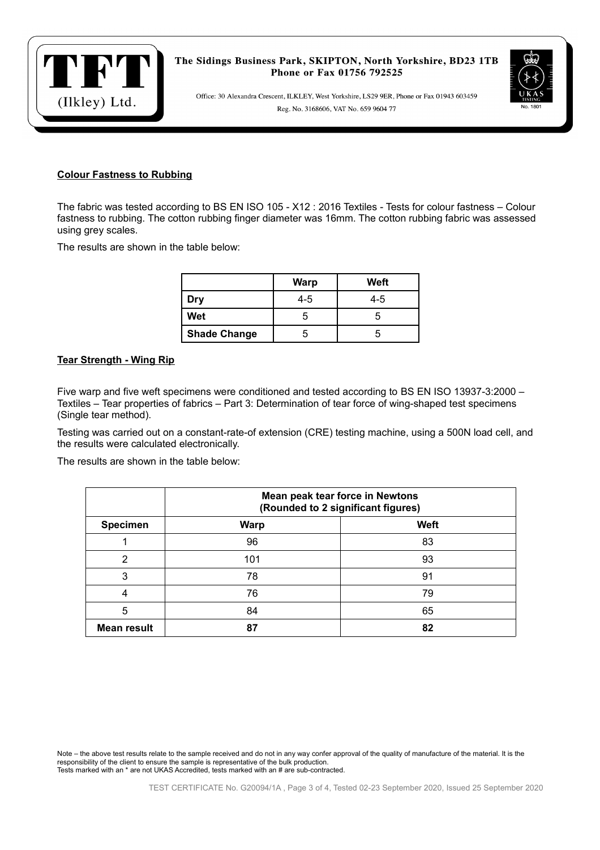

Office: 30 Alexandra Crescent, ILKLEY, West Yorkshire, LS29 9ER, Phone or Fax 01943 603459 Reg. No. 3168606, VAT No. 659 9604 77

# **Colour Fastness to Rubbing**

The fabric was tested according to BS EN ISO 105 - X12 : 2016 Textiles - Tests for colour fastness – Colour fastness to rubbing. The cotton rubbing finger diameter was 16mm. The cotton rubbing fabric was assessed using grey scales.

The results are shown in the table below:

|                     | <b>Warp</b> | Weft |
|---------------------|-------------|------|
| Dry                 | 4-5         | 4-5  |
| Wet                 | :C          |      |
| <b>Shade Change</b> | h           |      |

#### **Tear Strength - Wing Rip**

Five warp and five weft specimens were conditioned and tested according to BS EN ISO 13937-3:2000 – Textiles – Tear properties of fabrics – Part 3: Determination of tear force of wing-shaped test specimens (Single tear method).

Testing was carried out on a constant-rate-of extension (CRE) testing machine, using a 500N load cell, and the results were calculated electronically.

The results are shown in the table below:

|                    |             | Mean peak tear force in Newtons<br>(Rounded to 2 significant figures) |  |  |
|--------------------|-------------|-----------------------------------------------------------------------|--|--|
| <b>Specimen</b>    | <b>Warp</b> | Weft                                                                  |  |  |
|                    | 96          | 83                                                                    |  |  |
| 2                  | 101         | 93                                                                    |  |  |
| 3                  | 78          | 91                                                                    |  |  |
| 4                  | 76          | 79                                                                    |  |  |
| 5                  | 84          | 65                                                                    |  |  |
| <b>Mean result</b> | 87          | 82                                                                    |  |  |

Note – the above test results relate to the sample received and do not in any way confer approval of the quality of manufacture of the material. It is the responsibility of the client to ensure the sample is representative of the bulk production. Tests marked with an \* are not UKAS Accredited, tests marked with an # are sub-contracted.